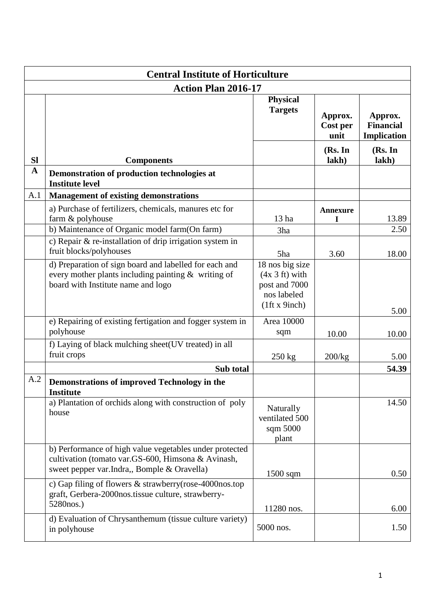| <b>Central Institute of Horticulture</b> |                                                                                                                                                              |                                                                                      |                             |                                            |
|------------------------------------------|--------------------------------------------------------------------------------------------------------------------------------------------------------------|--------------------------------------------------------------------------------------|-----------------------------|--------------------------------------------|
|                                          | <b>Action Plan 2016-17</b>                                                                                                                                   |                                                                                      |                             |                                            |
|                                          |                                                                                                                                                              | <b>Physical</b><br><b>Targets</b>                                                    | Approx.<br>Cost per<br>unit | Approx.<br><b>Financial</b><br>Implication |
| <b>SI</b>                                | <b>Components</b>                                                                                                                                            |                                                                                      | (Rs. In<br>lakh)            | (Rs. In<br>lakh)                           |
| $\mathbf A$                              | Demonstration of production technologies at<br><b>Institute level</b>                                                                                        |                                                                                      |                             |                                            |
| A.1                                      | <b>Management of existing demonstrations</b>                                                                                                                 |                                                                                      |                             |                                            |
|                                          | a) Purchase of fertilizers, chemicals, manures etc for<br>farm & polyhouse<br>b) Maintenance of Organic model farm(On farm)                                  | 13 <sub>ha</sub><br>3ha                                                              | <b>Annexure</b><br>I        | 13.89<br>2.50                              |
|                                          | c) Repair & re-installation of drip irrigation system in<br>fruit blocks/polyhouses                                                                          | 5ha                                                                                  | 3.60                        | 18.00                                      |
|                                          | d) Preparation of sign board and labelled for each and<br>every mother plants including painting & writing of<br>board with Institute name and logo          | 18 nos big size<br>$(4x 3 ft)$ with<br>post and 7000<br>nos labeled<br>(1ft x 9inch) |                             | 5.00                                       |
|                                          | e) Repairing of existing fertigation and fogger system in<br>polyhouse                                                                                       | Area 10000<br>sqm                                                                    | 10.00                       | 10.00                                      |
|                                          | f) Laying of black mulching sheet(UV treated) in all<br>fruit crops                                                                                          | $250 \text{ kg}$                                                                     | 200/kg                      | 5.00                                       |
|                                          | Sub total                                                                                                                                                    |                                                                                      |                             | 54.39                                      |
| A.2                                      | <b>Demonstrations of improved Technology in the</b><br><b>Institute</b>                                                                                      |                                                                                      |                             |                                            |
|                                          | a) Plantation of orchids along with construction of poly<br>house                                                                                            | Naturally<br>ventilated 500<br>sqm 5000<br>plant                                     |                             | 14.50                                      |
|                                          | b) Performance of high value vegetables under protected<br>cultivation (tomato var.GS-600, Himsona & Avinash,<br>sweet pepper var.Indra,, Bomple & Oravella) | $1500$ sqm                                                                           |                             | 0.50                                       |
|                                          | c) Gap filing of flowers & strawberry(rose-4000nos.top<br>graft, Gerbera-2000nos.tissue culture, strawberry-<br>5280nos.)                                    | 11280 nos.                                                                           |                             | 6.00                                       |
|                                          | d) Evaluation of Chrysanthemum (tissue culture variety)<br>in polyhouse                                                                                      | 5000 nos.                                                                            |                             | 1.50                                       |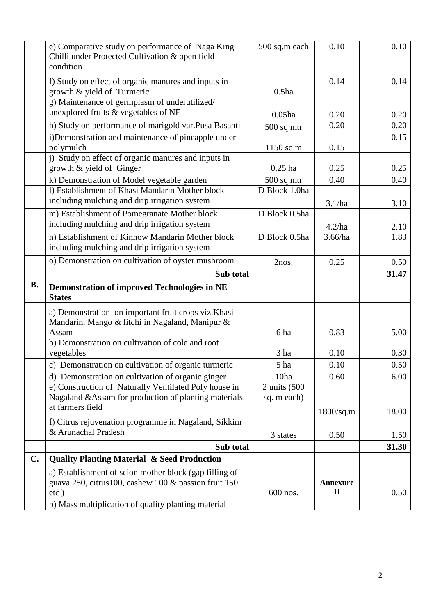|           | e) Comparative study on performance of Naga King<br>Chilli under Protected Cultivation & open field<br>condition | 500 sq.m each | 0.10               | 0.10  |
|-----------|------------------------------------------------------------------------------------------------------------------|---------------|--------------------|-------|
|           | f) Study on effect of organic manures and inputs in<br>growth & yield of Turmeric                                | $0.5$ ha      | 0.14               | 0.14  |
|           | g) Maintenance of germplasm of underutilized/<br>unexplored fruits & vegetables of NE                            | $0.05$ ha     | 0.20               | 0.20  |
|           | h) Study on performance of marigold var.Pusa Basanti                                                             | $500$ sq mtr  | 0.20               | 0.20  |
|           | i)Demonstration and maintenance of pineapple under<br>polymulch                                                  | $1150$ sq m   | 0.15               | 0.15  |
|           | j) Study on effect of organic manures and inputs in<br>growth & yield of Ginger                                  | $0.25$ ha     | 0.25               | 0.25  |
|           | k) Demonstration of Model vegetable garden                                                                       | $500$ sq mtr  | 0.40               | 0.40  |
|           | 1) Establishment of Khasi Mandarin Mother block                                                                  | D Block 1.0ha |                    |       |
|           | including mulching and drip irrigation system                                                                    |               | 3.1/ha             | 3.10  |
|           | m) Establishment of Pomegranate Mother block<br>including mulching and drip irrigation system                    | D Block 0.5ha | 4.2/ha             | 2.10  |
|           | n) Establishment of Kinnow Mandarin Mother block                                                                 | D Block 0.5ha | 3.66/ha            | 1.83  |
|           | including mulching and drip irrigation system                                                                    |               |                    |       |
|           | o) Demonstration on cultivation of oyster mushroom                                                               | 2nos.         | 0.25               | 0.50  |
|           | Sub total                                                                                                        |               |                    | 31.47 |
| <b>B.</b> | <b>Demonstration of improved Technologies in NE</b><br><b>States</b>                                             |               |                    |       |
|           | a) Demonstration on important fruit crops viz. Khasi<br>Mandarin, Mango & litchi in Nagaland, Manipur &<br>Assam | 6 ha          | 0.83               | 5.00  |
|           | b) Demonstration on cultivation of cole and root                                                                 |               |                    |       |
|           | vegetables                                                                                                       | 3 ha          | 0.10               | 0.30  |
|           | c) Demonstration on cultivation of organic turmeric                                                              | 5 ha          | 0.10               | 0.50  |
|           | d) Demonstration on cultivation of organic ginger                                                                | 10ha          | 0.60               | 6.00  |
|           | e) Construction of Naturally Ventilated Poly house in                                                            | 2 units (500  |                    |       |
|           | Nagaland & Assam for production of planting materials                                                            | sq. m each)   |                    |       |
|           | at farmers field                                                                                                 |               | $1800\text{/sq.m}$ | 18.00 |
|           | f) Citrus rejuvenation programme in Nagaland, Sikkim                                                             |               |                    |       |
|           | & Arunachal Pradesh                                                                                              | 3 states      | 0.50               | 1.50  |
|           | Sub total                                                                                                        |               |                    | 31.30 |
| C.        | <b>Quality Planting Material &amp; Seed Production</b>                                                           |               |                    |       |
|           | a) Establishment of scion mother block (gap filling of<br>guava 250, citrus 100, cashew 100 & passion fruit 150  |               | <b>Annexure</b>    |       |
|           | $etc$ )                                                                                                          | 600 nos.      | $\mathbf{I}$       | 0.50  |
|           | b) Mass multiplication of quality planting material                                                              |               |                    |       |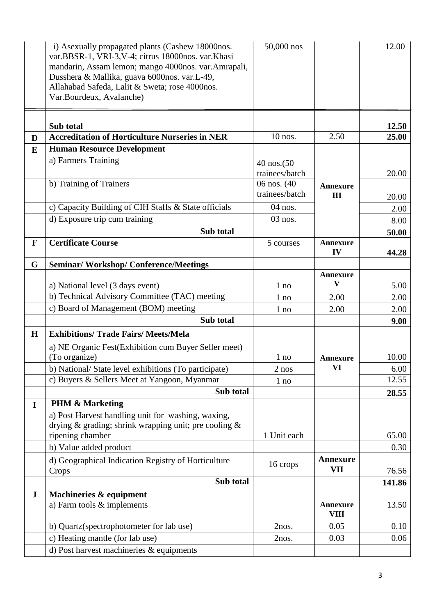|             | i) Asexually propagated plants (Cashew 18000nos.<br>var.BBSR-1, VRI-3, V-4; citrus 18000nos. var.Khasi<br>mandarin, Assam lemon; mango 4000nos. var.Amrapali,<br>Dusshera & Mallika, guava 6000nos. var.L-49,<br>Allahabad Safeda, Lalit & Sweta; rose 4000nos.<br>Var.Bourdeux, Avalanche) | 50,000 nos     |                                | 12.00  |
|-------------|---------------------------------------------------------------------------------------------------------------------------------------------------------------------------------------------------------------------------------------------------------------------------------------------|----------------|--------------------------------|--------|
|             | Sub total                                                                                                                                                                                                                                                                                   |                |                                | 12.50  |
| D           | <b>Accreditation of Horticulture Nurseries in NER</b>                                                                                                                                                                                                                                       | $10$ nos.      | 2.50                           | 25.00  |
| E           | <b>Human Resource Development</b>                                                                                                                                                                                                                                                           |                |                                |        |
|             | a) Farmers Training                                                                                                                                                                                                                                                                         | 40 nos.(50     |                                |        |
|             |                                                                                                                                                                                                                                                                                             | trainees/batch |                                | 20.00  |
|             | b) Training of Trainers                                                                                                                                                                                                                                                                     | 06 nos. (40)   | <b>Annexure</b>                |        |
|             |                                                                                                                                                                                                                                                                                             | trainees/batch | III                            | 20.00  |
|             | c) Capacity Building of CIH Staffs & State officials                                                                                                                                                                                                                                        | 04 nos.        |                                | 2.00   |
|             | d) Exposure trip cum training                                                                                                                                                                                                                                                               | $03$ nos.      |                                | 8.00   |
|             | Sub total                                                                                                                                                                                                                                                                                   |                |                                | 50.00  |
| F           | <b>Certificate Course</b>                                                                                                                                                                                                                                                                   | 5 courses      | <b>Annexure</b>                |        |
|             |                                                                                                                                                                                                                                                                                             |                | IV                             | 44.28  |
| G           | <b>Seminar/Workshop/Conference/Meetings</b>                                                                                                                                                                                                                                                 |                |                                |        |
|             |                                                                                                                                                                                                                                                                                             |                | <b>Annexure</b>                |        |
|             | a) National level (3 days event)                                                                                                                                                                                                                                                            | $1$ no         | V                              | 5.00   |
|             | b) Technical Advisory Committee (TAC) meeting                                                                                                                                                                                                                                               | $1$ no         | 2.00                           | 2.00   |
|             | c) Board of Management (BOM) meeting                                                                                                                                                                                                                                                        | 1 no           | 2.00                           | 2.00   |
|             | Sub total                                                                                                                                                                                                                                                                                   |                |                                | 9.00   |
| H           | <b>Exhibitions/ Trade Fairs/ Meets/Mela</b>                                                                                                                                                                                                                                                 |                |                                |        |
|             | a) NE Organic Fest (Exhibition cum Buyer Seller meet)                                                                                                                                                                                                                                       |                |                                |        |
|             | (To organize)                                                                                                                                                                                                                                                                               | $1$ no         | <b>Annexure</b>                | 10.00  |
|             | b) National/ State level exhibitions (To participate)                                                                                                                                                                                                                                       | 2 nos          | VI                             | 6.00   |
|             | c) Buyers & Sellers Meet at Yangoon, Myanmar                                                                                                                                                                                                                                                | $1$ no         |                                | 12.55  |
|             | Sub total                                                                                                                                                                                                                                                                                   |                |                                | 28.55  |
| $\mathbf I$ | <b>PHM &amp; Marketing</b>                                                                                                                                                                                                                                                                  |                |                                |        |
|             | a) Post Harvest handling unit for washing, waxing,                                                                                                                                                                                                                                          |                |                                |        |
|             | drying & grading; shrink wrapping unit; pre cooling &                                                                                                                                                                                                                                       | 1 Unit each    |                                | 65.00  |
|             | ripening chamber                                                                                                                                                                                                                                                                            |                |                                | 0.30   |
|             | b) Value added product                                                                                                                                                                                                                                                                      |                |                                |        |
|             | d) Geographical Indication Registry of Horticulture<br>Crops                                                                                                                                                                                                                                | 16 crops       | <b>Annexure</b><br>VII         | 76.56  |
|             | Sub total                                                                                                                                                                                                                                                                                   |                |                                | 141.86 |
| ${\bf J}$   | Machineries & equipment                                                                                                                                                                                                                                                                     |                |                                |        |
|             | a) Farm tools & implements                                                                                                                                                                                                                                                                  |                | <b>Annexure</b><br><b>VIII</b> | 13.50  |
|             | b) Quartz(spectrophotometer for lab use)                                                                                                                                                                                                                                                    | 2nos.          | 0.05                           | 0.10   |
|             | c) Heating mantle (for lab use)                                                                                                                                                                                                                                                             | 2nos.          | 0.03                           | 0.06   |
|             | d) Post harvest machineries & equipments                                                                                                                                                                                                                                                    |                |                                |        |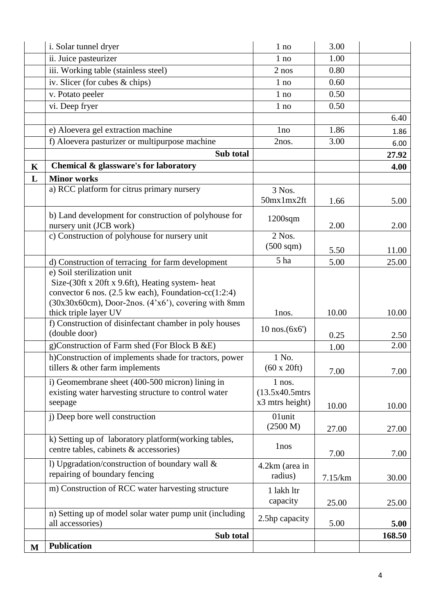| $\bf M$     | <b>Publication</b>                                                                                                                                                                                                                   |                                                  |         |        |
|-------------|--------------------------------------------------------------------------------------------------------------------------------------------------------------------------------------------------------------------------------------|--------------------------------------------------|---------|--------|
|             | Sub total                                                                                                                                                                                                                            |                                                  |         | 168.50 |
|             | n) Setting up of model solar water pump unit (including<br>all accessories)                                                                                                                                                          | 2.5hp capacity                                   | 5.00    | 5.00   |
|             | m) Construction of RCC water harvesting structure                                                                                                                                                                                    | 1 lakh ltr<br>capacity                           | 25.00   | 25.00  |
|             | 1) Upgradation/construction of boundary wall &<br>repairing of boundary fencing                                                                                                                                                      | 4.2km (area in<br>radius)                        | 7.15/km | 30.00  |
|             | k) Setting up of laboratory platform (working tables,<br>centre tables, cabinets & accessories)                                                                                                                                      | 1nos                                             | 7.00    | 7.00   |
|             | j) Deep bore well construction                                                                                                                                                                                                       | 01unit<br>(2500 M)                               | 27.00   | 27.00  |
|             | i) Geomembrane sheet (400-500 micron) lining in<br>existing water harvesting structure to control water<br>seepage                                                                                                                   | $1$ nos.<br>$(13.5x40.5m$ trs<br>x3 mtrs height) | 10.00   | 10.00  |
|             | h)Construction of implements shade for tractors, power<br>tillers & other farm implements                                                                                                                                            | 1 No.<br>$(60 \times 20 \text{ft})$              | 7.00    | 7.00   |
|             | g)Construction of Farm shed (For Block B & E)                                                                                                                                                                                        |                                                  | 1.00    | 2.00   |
|             | f) Construction of disinfectant chamber in poly houses<br>(double door)                                                                                                                                                              | $10$ nos. $(6x6)$                                | 0.25    | 2.50   |
|             | e) Soil sterilization unit<br>Size-(30ft x 20ft x 9.6ft), Heating system- heat<br>convector 6 nos. $(2.5 \text{ kw each})$ , Foundation-cc $(1:2:4)$<br>(30x30x60cm), Door-2nos. (4'x6'), covering with 8mm<br>thick triple layer UV | lnos.                                            | 10.00   | 10.00  |
|             | d) Construction of terracing for farm development                                                                                                                                                                                    | 5 ha                                             | 5.00    | 25.00  |
|             | c) Construction of polyhouse for nursery unit                                                                                                                                                                                        | 2 Nos.<br>$(500 \text{ sqm})$                    | 5.50    | 11.00  |
|             | b) Land development for construction of polyhouse for<br>nursery unit (JCB work)                                                                                                                                                     | $1200$ sqm                                       | 2.00    | 2.00   |
| L           | <b>Minor works</b><br>a) RCC platform for citrus primary nursery                                                                                                                                                                     | 3 Nos.<br>50mx1mx2ft                             | 1.66    | 5.00   |
| $\mathbf K$ | Chemical & glassware's for laboratory                                                                                                                                                                                                |                                                  |         | 4.00   |
|             | Sub total                                                                                                                                                                                                                            |                                                  |         | 27.92  |
|             | f) Aloevera pasturizer or multipurpose machine                                                                                                                                                                                       | 2nos.                                            | 3.00    | 6.00   |
|             | e) Aloevera gel extraction machine                                                                                                                                                                                                   | 1 <sub>no</sub>                                  | 1.86    | 1.86   |
|             | vi. Deep fryer                                                                                                                                                                                                                       | $1$ no                                           | 0.50    | 6.40   |
|             | v. Potato peeler                                                                                                                                                                                                                     | $1$ no                                           | 0.50    |        |
|             | iv. Slicer (for cubes & chips)                                                                                                                                                                                                       | $1$ no                                           | 0.60    |        |
|             | iii. Working table (stainless steel)                                                                                                                                                                                                 | $2$ nos                                          | 0.80    |        |
|             | ii. Juice pasteurizer                                                                                                                                                                                                                | $1$ no                                           | 1.00    |        |
|             | i. Solar tunnel dryer                                                                                                                                                                                                                | 1 no                                             | 3.00    |        |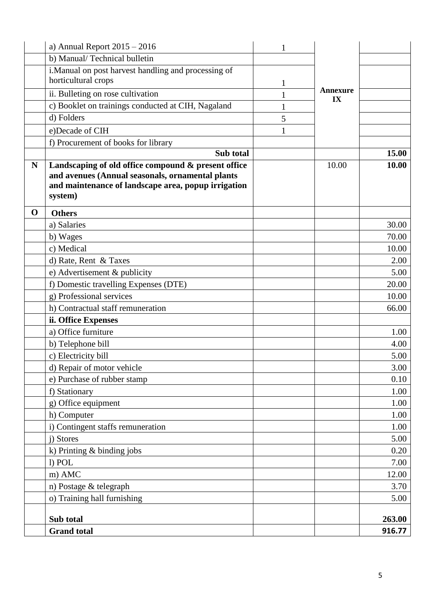|             | a) Annual Report $2015 - 2016$                       | 1 |                       |        |
|-------------|------------------------------------------------------|---|-----------------------|--------|
|             | b) Manual/Technical bulletin                         |   |                       |        |
|             | i. Manual on post harvest handling and processing of |   |                       |        |
|             | horticultural crops                                  | 1 |                       |        |
|             | ii. Bulleting on rose cultivation                    | 1 | <b>Annexure</b><br>IX |        |
|             | c) Booklet on trainings conducted at CIH, Nagaland   | 1 |                       |        |
|             | d) Folders                                           | 5 |                       |        |
|             | e)Decade of CIH                                      | 1 |                       |        |
|             | f) Procurement of books for library                  |   |                       |        |
|             | Sub total                                            |   |                       | 15.00  |
| N           | Landscaping of old office compound & present office  |   | 10.00                 | 10.00  |
|             | and avenues (Annual seasonals, ornamental plants     |   |                       |        |
|             | and maintenance of landscape area, popup irrigation  |   |                       |        |
|             | system)                                              |   |                       |        |
| $\mathbf 0$ | <b>Others</b>                                        |   |                       |        |
|             | a) Salaries                                          |   |                       | 30.00  |
|             | b) Wages                                             |   |                       | 70.00  |
|             | c) Medical                                           |   |                       | 10.00  |
|             | d) Rate, Rent & Taxes                                |   |                       | 2.00   |
|             | e) Advertisement $&$ publicity                       |   |                       | 5.00   |
|             | f) Domestic travelling Expenses (DTE)                |   |                       | 20.00  |
|             | g) Professional services                             |   |                       | 10.00  |
|             | h) Contractual staff remuneration                    |   |                       | 66.00  |
|             | ii. Office Expenses                                  |   |                       |        |
|             | a) Office furniture                                  |   |                       | 1.00   |
|             | b) Telephone bill                                    |   |                       | 4.00   |
|             | c) Electricity bill                                  |   |                       | 5.00   |
|             | d) Repair of motor vehicle                           |   |                       | 3.00   |
|             | e) Purchase of rubber stamp                          |   |                       | 0.10   |
|             | f) Stationary                                        |   |                       | 1.00   |
|             | g) Office equipment                                  |   |                       | 1.00   |
|             | h) Computer                                          |   |                       | 1.00   |
|             | i) Contingent staffs remuneration                    |   |                       | 1.00   |
|             | j) Stores                                            |   |                       | 5.00   |
|             | k) Printing $&$ binding jobs                         |   |                       | 0.20   |
|             | l) POL                                               |   |                       | 7.00   |
|             | m) AMC                                               |   |                       | 12.00  |
|             | n) Postage & telegraph                               |   |                       | 3.70   |
|             | o) Training hall furnishing                          |   |                       | 5.00   |
|             |                                                      |   |                       |        |
|             | Sub total                                            |   |                       | 263.00 |
|             | <b>Grand</b> total                                   |   |                       | 916.77 |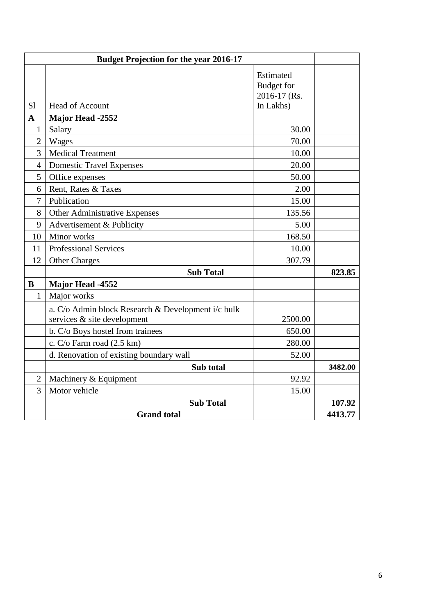| <b>Budget Projection for the year 2016-17</b> |                                                    |                                                             |         |
|-----------------------------------------------|----------------------------------------------------|-------------------------------------------------------------|---------|
| S1                                            | <b>Head of Account</b>                             | Estimated<br><b>Budget</b> for<br>2016-17 (Rs.<br>In Lakhs) |         |
| $\mathbf{A}$                                  | <b>Major Head -2552</b>                            |                                                             |         |
| $\mathbf{1}$                                  | Salary                                             | 30.00                                                       |         |
| $\overline{2}$                                | Wages                                              | 70.00                                                       |         |
| 3                                             | <b>Medical Treatment</b>                           | 10.00                                                       |         |
| $\overline{4}$                                | <b>Domestic Travel Expenses</b>                    | 20.00                                                       |         |
| 5                                             | Office expenses                                    | 50.00                                                       |         |
| 6                                             | Rent, Rates & Taxes                                | 2.00                                                        |         |
| 7                                             | Publication                                        | 15.00                                                       |         |
| 8                                             | Other Administrative Expenses                      | 135.56                                                      |         |
| 9                                             | Advertisement & Publicity                          | 5.00                                                        |         |
| 10                                            | Minor works                                        | 168.50                                                      |         |
| 11                                            | <b>Professional Services</b>                       | 10.00                                                       |         |
| 12                                            | <b>Other Charges</b>                               | 307.79                                                      |         |
|                                               | <b>Sub Total</b>                                   |                                                             | 823.85  |
| $\bf{B}$                                      | Major Head -4552                                   |                                                             |         |
| $\mathbf{1}$                                  | Major works                                        |                                                             |         |
|                                               | a. C/o Admin block Research & Development i/c bulk |                                                             |         |
|                                               | services & site development                        | 2500.00                                                     |         |
|                                               | b. C/o Boys hostel from trainees                   | 650.00                                                      |         |
|                                               | c. C/o Farm road (2.5 km)                          | 280.00                                                      |         |
|                                               | d. Renovation of existing boundary wall            | 52.00                                                       |         |
|                                               | Sub total                                          |                                                             | 3482.00 |
| $\overline{2}$                                | Machinery & Equipment                              | 92.92                                                       |         |
| 3                                             | Motor vehicle                                      | 15.00                                                       |         |
|                                               | <b>Sub Total</b>                                   |                                                             | 107.92  |
|                                               | <b>Grand</b> total                                 |                                                             | 4413.77 |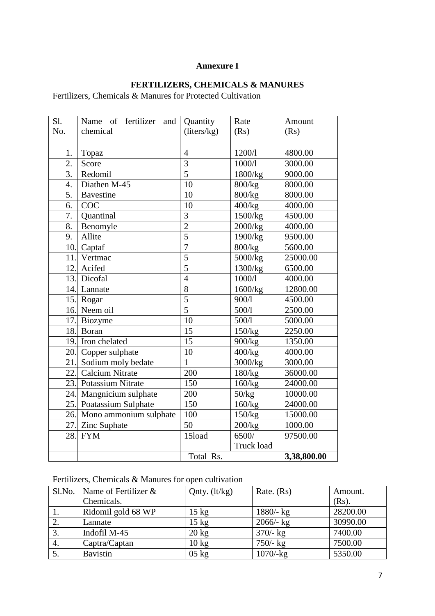#### **Annexure I**

#### **FERTILIZERS, CHEMICALS & MANURES**

Fertilizers, Chemicals & Manures for Protected Cultivation

| $S1$ .           | Name of fertilizer and     | Quantity       | Rate       | Amount      |
|------------------|----------------------------|----------------|------------|-------------|
| No.              | chemical                   | (liters/kg)    | (Rs)       | (Rs)        |
|                  |                            |                |            |             |
| 1.               | Topaz                      | $\overline{4}$ | 1200/1     | 4800.00     |
| $\overline{2}$ . | Score                      | $\overline{3}$ | 1000/1     | 3000.00     |
| 3.               | Redomil                    | $\overline{5}$ | 1800/kg    | 9000.00     |
| 4.               | Diathen M-45               | 10             | 800/kg     | 8000.00     |
| $\overline{5}$ . | <b>Bavestine</b>           | 10             | 800/kg     | 8000.00     |
| 6.               | COC                        | 10             | 400/kg     | 4000.00     |
| 7.               | Quantinal                  | 3              | 1500/kg    | 4500.00     |
| 8.               | Benomyle                   | $\overline{2}$ | 2000/kg    | 4000.00     |
| 9.               | Allite                     | $\overline{5}$ | 1900/kg    | 9500.00     |
| 10.              | Captaf                     | $\overline{7}$ | 800/kg     | 5600.00     |
| 11.              | Vertmac                    | 5              | 5000/kg    | 25000.00    |
| 12.              | Acifed                     | 5              | 1300/kg    | 6500.00     |
|                  | 13. Dicofal                | $\overline{4}$ | 1000/1     | 4000.00     |
|                  | 14. Lannate                | 8              | 1600/kg    | 12800.00    |
|                  | 15. Rogar                  | $\overline{5}$ | 900/1      | 4500.00     |
|                  | 16. Neem oil               | $\overline{5}$ | 500/1      | 2500.00     |
|                  | 17. Biozyme                | 10             | 500/1      | 5000.00     |
|                  | 18. Boran                  | 15             | 150/kg     | 2250.00     |
|                  | 19. Iron chelated          | 15             | 900/kg     | 1350.00     |
|                  | 20. Copper sulphate        | 10             | 400/kg     | 4000.00     |
|                  | 21. Sodium moly bedate     | 1              | 3000/kg    | 3000.00     |
| 22.              | <b>Calcium Nitrate</b>     | 200            | 180/kg     | 36000.00    |
| 23.              | <b>Potassium Nitrate</b>   | 150            | 160/kg     | 24000.00    |
| 24.              | Mangnicium sulphate        | 200            | 50/kg      | 10000.00    |
|                  | 25. Poatassium Sulphate    | 150            | 160/kg     | 24000.00    |
|                  | 26. Mono ammonium sulphate | 100            | 150/kg     | 15000.00    |
|                  | 27. Zinc Suphate           | 50             | 200/kg     | 1000.00     |
|                  | 28. FYM                    | 15load         | 6500/      | 97500.00    |
|                  |                            |                | Truck load |             |
|                  |                            | Total Rs.      |            | 3,38,800.00 |

# Fertilizers, Chemicals & Manures for open cultivation

| Sl.No. | Name of Fertilizer $\&$ | Qnty. $(lt/kg)$ | Rate. $(Rs)$   | Amount.  |
|--------|-------------------------|-----------------|----------------|----------|
|        | Chemicals.              |                 |                | $(Rs)$ . |
|        | Ridomil gold 68 WP      | $15 \text{ kg}$ | $1880 - kg$    | 28200.00 |
|        | Lannate                 | $15$ kg         | $2066/-$ kg    | 30990.00 |
| 3.     | Indofil M-45            | $20 \text{ kg}$ | $370/-$ kg     | 7400.00  |
| 4.     | Captra/Captan           | $10 \text{ kg}$ | $750/-$ kg     | 7500.00  |
|        | <b>Bavistin</b>         | $05$ kg         | $1070/$ - $kg$ | 5350.00  |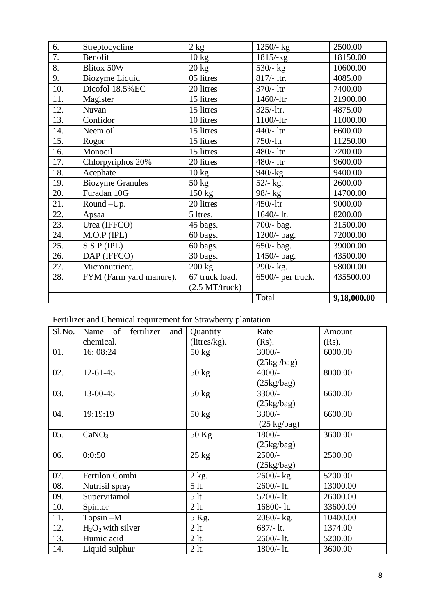| 6.               | Streptocycline          | 2 kg                  | 1250/- kg         | 2500.00     |
|------------------|-------------------------|-----------------------|-------------------|-------------|
| $\overline{7}$ . | Benofit                 | $10 \text{ kg}$       | $1815/-kg$        | 18150.00    |
| 8.               | <b>Blitox 50W</b>       | $20 \text{ kg}$       | $530/-$ kg        | 10600.00    |
| 9.               | Biozyme Liquid          | 05 litres             | 817/- ltr.        | 4085.00     |
| 10.              | Dicofol 18.5%EC         | 20 litres             | $370/- 1$ tr      | 7400.00     |
| 11.              | Magister                | 15 litres             | $1460/$ -ltr      | 21900.00    |
| 12.              | Nuvan                   | 15 litres             | $325/-1$ tr.      | 4875.00     |
| 13.              | Confidor                | 10 litres             | $1100/$ -ltr      | 11000.00    |
| 14.              | Neem oil                | 15 litres             | $440/- 1tr$       | 6600.00     |
| 15.              | Rogor                   | 15 litres             | $750/-$ ltr       | 11250.00    |
| 16.              | Monocil                 | 15 litres             | $480/- 1$ tr      | 7200.00     |
| 17.              | Chlorpyriphos 20%       | 20 litres             | 480/-1tr          | 9600.00     |
| 18.              | Acephate                | $10 \text{ kg}$       | $940/-kg$         | 9400.00     |
| 19.              | <b>Biozyme Granules</b> | $50 \text{ kg}$       | $52/-$ kg.        | 2600.00     |
| 20.              | Furadan 10G             | $150 \text{ kg}$      | $98/-$ kg         | 14700.00    |
| 21.              | Round-Up.               | 20 litres             | $450/-$ ltr       | 9000.00     |
| 22.              | Apsaa                   | 5 ltres.              | $1640/-$ lt.      | 8200.00     |
| 23.              | Urea (IFFCO)            | 45 bags.              | 700/- bag.        | 31500.00    |
| 24.              | $M.O.P$ (IPL)           | 60 bags.              | 1200/- bag.       | 72000.00    |
| 25.              | S.S.P (IPL)             | 60 bags.              | $650/-$ bag.      | 39000.00    |
| 26.              | DAP (IFFCO)             | 30 bags.              | 1450/- bag.       | 43500.00    |
| 27.              | Micronutrient.          | $200 \text{ kg}$      | 290/- kg.         | 58000.00    |
| 28.              | FYM (Farm yard manure). | 67 truck load.        | 6500/- per truck. | 435500.00   |
|                  |                         | $(2.5 M T/$ truck $)$ |                   |             |
|                  |                         |                       | Total             | 9,18,000.00 |

Fertilizer and Chemical requirement for Strawberry plantation

| Sl.No. | Name of fertilizer and | Quantity        | Rate                       | Amount   |
|--------|------------------------|-----------------|----------------------------|----------|
|        | chemical.              | (litres/kg).    | $(Rs)$ .                   | $(Rs)$ . |
| 01.    | 16:08:24               | $50 \text{ kg}$ | $3000/-$                   | 6000.00  |
|        |                        |                 | $(25\text{kg}/\text{bag})$ |          |
| 02.    | $12 - 61 - 45$         | $50 \text{ kg}$ | $4000/-$                   | 8000.00  |
|        |                        |                 | $(25\text{kg/bag})$        |          |
| 03.    | 13-00-45               | $50 \text{ kg}$ | $3300/-$                   | 6600.00  |
|        |                        |                 | $(25\text{kg/bag})$        |          |
| 04.    | 19:19:19               | $50 \text{ kg}$ | $3300/-$                   | 6600.00  |
|        |                        |                 | $(25 \text{ kg/bag})$      |          |
| 05.    | CaNO <sub>3</sub>      | 50 Kg           | 1800/-                     | 3600.00  |
|        |                        |                 | $(25\text{kg/bag})$        |          |
| 06.    | 0:0:50                 | $25 \text{ kg}$ | $2500/-$                   | 2500.00  |
|        |                        |                 | (25kg/bag)                 |          |
| 07.    | Fertilon Combi         | $2$ kg.         | $2600 - kg$ .              | 5200.00  |
| 08.    | Nutrisil spray         | $5$ lt.         | 2600/-1t.                  | 13000.00 |
| 09.    | Supervitamol           | 5 lt.           | $5200/-$ lt.               | 26000.00 |
| 10.    | Spintor                | $2$ lt.         | 16800-lt.                  | 33600.00 |
| 11.    | $T$ opsin $-M$         | 5 Kg.           | 2080/- kg.                 | 10400.00 |
| 12.    | $H_2O_2$ with silver   | $2$ lt.         | $687/-$ lt.                | 1374.00  |
| 13.    | Humic acid             | $2$ lt.         | $2600 - 1t$ .              | 5200.00  |
| 14.    | Liquid sulphur         | $2$ lt.         | $1800/-$ lt.               | 3600.00  |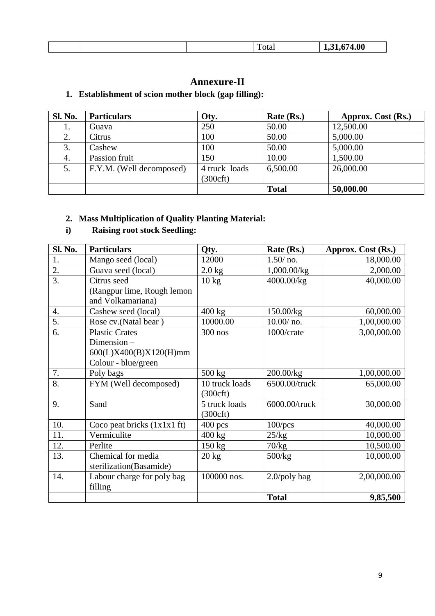|  |  |  |  | . | ıΛ<br>w |
|--|--|--|--|---|---------|
|--|--|--|--|---|---------|

# **Annexure-II**

# **1. Establishment of scion mother block (gap filling):**

| <b>Sl. No.</b> | <b>Particulars</b>       | Oty.                                 | Rate (Rs.)   | Approx. Cost (Rs.) |
|----------------|--------------------------|--------------------------------------|--------------|--------------------|
| 1.             | Guava                    | 250                                  | 50.00        | 12,500.00          |
| 2.             | Citrus                   | 100                                  | 50.00        | 5,000.00           |
| 3.             | Cashew                   | 100                                  | 50.00        | 5,000.00           |
| 4.             | Passion fruit            | 150                                  | 10.00        | 1,500.00           |
| 5.             | F.Y.M. (Well decomposed) | 4 truck loads<br>$(300 \text{cf} t)$ | 6,500.00     | 26,000.00          |
|                |                          |                                      | <b>Total</b> | 50,000.00          |

#### **2. Mass Multiplication of Quality Planting Material:**

# **i) Raising root stock Seedling:**

| Sl. No.          | <b>Particulars</b>                              | Qty.                                 | Rate (Rs.)      | Approx. Cost (Rs.) |
|------------------|-------------------------------------------------|--------------------------------------|-----------------|--------------------|
| 1.               | Mango seed (local)                              | 12000                                | $1.50/$ no.     | 18,000.00          |
| 2.               | Guava seed (local)                              | $2.0$ kg                             | 1,000.00/kg     | 2,000.00           |
| $\overline{3}$ . | Citrus seed                                     | $10 \text{ kg}$                      | 4000.00/kg      | 40,000.00          |
|                  | (Rangpur lime, Rough lemon<br>and Volkamariana) |                                      |                 |                    |
| $\overline{4}$ . | Cashew seed (local)                             | $400$ kg                             | 150.00/kg       | 60,000.00          |
| 5.               | Rose cv.(Natal bear)                            | 10000.00                             | $10.00/$ no.    | 1,00,000.00        |
| 6.               | <b>Plastic Crates</b>                           | 300 nos                              | 1000/crate      | 3,00,000.00        |
|                  | Dimension-                                      |                                      |                 |                    |
|                  | 600(L)X400(B)X120(H)mm                          |                                      |                 |                    |
|                  | Colour - blue/green                             |                                      |                 |                    |
| 7.               | Poly bags                                       | $500 \text{ kg}$                     | 200.00/kg       | 1,00,000.00        |
| 8.               | FYM (Well decomposed)                           | 10 truck loads<br>$(300 \text{cft})$ | 6500.00/truck   | 65,000.00          |
| 9.               | Sand                                            | 5 truck loads<br>$(300 \text{cft})$  | 6000.00/truck   | 30,000.00          |
| 10.              | Coco peat bricks $(1x1x1 ft)$                   | $400$ pcs                            | $100$ /pcs      | 40,000.00          |
| 11.              | Vermiculite                                     | 400 kg                               | 25/kg           | 10,000.00          |
| 12.              | Perlite                                         | $150 \text{ kg}$                     | 70/kg           | 10,500.00          |
| 13.              | Chemical for media                              | $20 \text{ kg}$                      | 500/kg          | 10,000.00          |
|                  | sterilization(Basamide)                         |                                      |                 |                    |
| 14.              | Labour charge for poly bag                      | 100000 nos.                          | $2.0$ /poly bag | 2,00,000.00        |
|                  | filling                                         |                                      |                 |                    |
|                  |                                                 |                                      | <b>Total</b>    | 9,85,500           |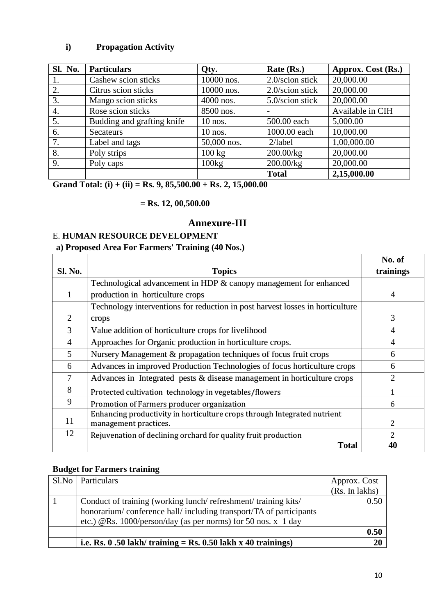## **i) Propagation Activity**

| <b>Sl. No.</b> | <b>Particulars</b>         | Qty.             | Rate (Rs.)      | Approx. Cost (Rs.) |
|----------------|----------------------------|------------------|-----------------|--------------------|
| 1.             | Cashew scion sticks        | 10000 nos.       | 2.0/scion stick | 20,000.00          |
| 2.             | Citrus scion sticks        | 10000 nos.       | 2.0/scion stick | 20,000.00          |
| 3.             | Mango scion sticks         | $4000$ nos.      | 5.0/scion stick | 20,000.00          |
| 4.             | Rose scion sticks          | 8500 nos.        |                 | Available in CIH   |
| 5.             | Budding and grafting knife | $10$ nos.        | 500.00 each     | 5,000.00           |
| 6.             | <b>Secateurs</b>           | $10$ nos.        | 1000.00 each    | 10,000.00          |
| 7.             | Label and tags             | 50,000 nos.      | $2/$ label      | 1,00,000.00        |
| 8.             | Poly strips                | $100 \text{ kg}$ | 200.00/kg       | 20,000.00          |
| 9.             | Poly caps                  | 100kg            | 200.00/kg       | 20,000.00          |
|                |                            |                  | <b>Total</b>    | 2,15,000.00        |

**Grand Total: (i) + (ii) = Rs. 9, 85,500.00 + Rs. 2, 15,000.00**

 **= Rs. 12, 00,500.00**

## **Annexure-III**

#### E. **HUMAN RESOURCE DEVELOPMENT**

#### **a) Proposed Area For Farmers' Training (40 Nos.)**

|                |                                                                               | No. of         |
|----------------|-------------------------------------------------------------------------------|----------------|
| <b>Sl. No.</b> | <b>Topics</b>                                                                 | trainings      |
|                | Technological advancement in HDP & canopy management for enhanced             |                |
|                | production in horticulture crops                                              | $\overline{4}$ |
|                | Technology interventions for reduction in post harvest losses in horticulture |                |
| 2              | crops                                                                         | 3              |
| 3              | Value addition of horticulture crops for livelihood                           | $\overline{4}$ |
| $\overline{4}$ | Approaches for Organic production in horticulture crops.                      | $\overline{4}$ |
| 5              | Nursery Management & propagation techniques of focus fruit crops              | 6              |
| 6              | Advances in improved Production Technologies of focus horticulture crops      | 6              |
| 7              | Advances in Integrated pests $&$ disease management in horticulture crops     | $\overline{2}$ |
| 8              | Protected cultivation technology in vegetables/flowers                        | 1              |
| 9              | Promotion of Farmers producer organization                                    | 6              |
| 11             | Enhancing productivity in horticulture crops through Integrated nutrient      | $\overline{2}$ |
|                | management practices.                                                         |                |
| 12             | Rejuvenation of declining orchard for quality fruit production                | 2              |
|                | <b>Total</b>                                                                  | 40             |

#### **Budget for Farmers training**

| Sl.No   Particulars                                               | Approx. Cost   |
|-------------------------------------------------------------------|----------------|
|                                                                   | (Rs. In lakhs) |
| Conduct of training (working lunch/refreshment/training kits/     | 0.50           |
| honorarium/conference hall/including transport/TA of participants |                |
| etc.) @Rs. 1000/person/day (as per norms) for 50 nos. $x$ 1 day   |                |
|                                                                   | 0.50           |
| i.e. Rs. $0.50$ lakh/ training = Rs. $0.50$ lakh x 40 trainings)  | 20             |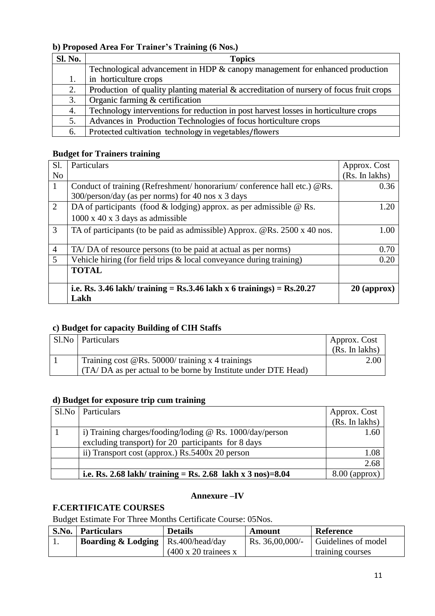# **b) Proposed Area For Trainer's Training (6 Nos.)**

| <b>Sl. No.</b> | <b>Topics</b>                                                                           |
|----------------|-----------------------------------------------------------------------------------------|
|                | Technological advancement in HDP & canopy management for enhanced production            |
| 1.             | in horticulture crops                                                                   |
| 2.             | Production of quality planting material & accreditation of nursery of focus fruit crops |
| 3.             | Organic farming & certification                                                         |
| 4.             | Technology interventions for reduction in post harvest losses in horticulture crops     |
| 5.             | Advances in Production Technologies of focus horticulture crops                         |
| 6.             | Protected cultivation technology in vegetables/flowers                                  |

#### **Budget for Trainers training**

| Sl.            | Particulars                                                               | Approx. Cost   |
|----------------|---------------------------------------------------------------------------|----------------|
| N <sub>o</sub> |                                                                           | (Rs. In lakhs) |
| $\mathbf{1}$   | Conduct of training (Refreshment/honorarium/conference hall etc.) @Rs.    | 0.36           |
|                | 300/person/day (as per norms) for 40 nos x 3 days                         |                |
| 2              | DA of participants (food $&$ lodging) approx. as per admissible $&$ Rs.   | 1.20           |
|                | $1000 \times 40 \times 3$ days as admissible                              |                |
| 3              | TA of participants (to be paid as admissible) Approx. @Rs. 2500 x 40 nos. | 1.00           |
|                |                                                                           |                |
| $\overline{4}$ | TA/DA of resource persons (to be paid at actual as per norms)             | 0.70           |
| 5              | Vehicle hiring (for field trips & local conveyance during training)       | 0.20           |
|                | <b>TOTAL</b>                                                              |                |
|                |                                                                           |                |
|                | i.e. Rs. 3.46 lakh/ training = Rs.3.46 lakh x 6 trainings) = Rs.20.27     | $20$ (approx)  |
|                | Lakh                                                                      |                |

#### **c) Budget for capacity Building of CIH Staffs**

| Sl.No   Particulars                                           | Approx. Cost   |
|---------------------------------------------------------------|----------------|
|                                                               | (Rs. In lakhs) |
| Training cost $@$ Rs. 50000/ training x 4 trainings           | 2.00           |
| (TA/DA as per actual to be borne by Institute under DTE Head) |                |

#### **d) Budget for exposure trip cum training**

| Sl.No   Particulars                                                   | Approx. Cost    |
|-----------------------------------------------------------------------|-----------------|
|                                                                       | (Rs. In lakhs)  |
| i) Training charges/fooding/loding $@$ Rs. 1000/day/person            | 1.60            |
| excluding transport) for 20 participants for 8 days                   |                 |
| ii) Transport cost (approx.) Rs.5400x 20 person                       | 1.08            |
|                                                                       | 2.68            |
| i.e. Rs. 2.68 lakh/ training = Rs. 2.68 lakh x $3 \text{ nos}$ = 8.04 | $8.00$ (approx) |

#### **Annexure –IV**

# **F.CERTIFICATE COURSES**

Budget Estimate For Three Months Certificate Course: 05Nos.

| S.No. | <b>Particulars</b>            | <b>Details</b>                       | Amount         | Reference           |
|-------|-------------------------------|--------------------------------------|----------------|---------------------|
|       | <b>Boarding &amp; Lodging</b> | Rs.400/head/day                      | Rs. 36,00,000/ | Guidelines of model |
|       |                               | $(400 \times 20 \text{ trainees x})$ |                | training courses    |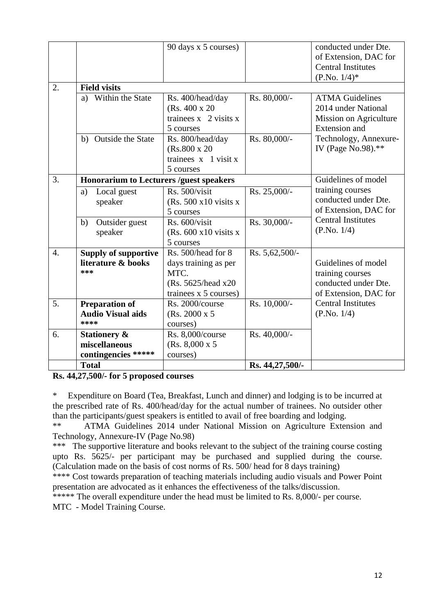|                  |                                                                 | 90 days x 5 courses)                                                                               |                 | conducted under Dte.<br>of Extension, DAC for<br><b>Central Institutes</b><br>$(P.No. 1/4)*$    |
|------------------|-----------------------------------------------------------------|----------------------------------------------------------------------------------------------------|-----------------|-------------------------------------------------------------------------------------------------|
| 2.               | <b>Field visits</b>                                             |                                                                                                    |                 |                                                                                                 |
|                  | Within the State<br>a)                                          | Rs. 400/head/day<br>(Rs. 400 x 20)<br>trainees $x \, 2$ visits $x$<br>5 courses                    | Rs. 80,000/-    | <b>ATMA Guidelines</b><br>2014 under National<br>Mission on Agriculture<br><b>Extension</b> and |
|                  | Outside the State<br>b)                                         | Rs. 800/head/day<br>$(Rs.800 \times 20)$<br>trainees $x$ 1 visit $x$<br>5 courses                  | Rs. 80,000/-    | Technology, Annexure-<br>IV (Page No.98).**                                                     |
| 3.               | <b>Honorarium to Lecturers /guest speakers</b>                  |                                                                                                    |                 | Guidelines of model                                                                             |
|                  | Local guest<br>a)<br>speaker                                    | Rs. 500/visit<br>$(Rs. 500 x10 \text{ visits } x$<br>5 courses                                     | Rs. 25,000/-    | training courses<br>conducted under Dte.<br>of Extension, DAC for                               |
|                  | b)<br>Outsider guest<br>speaker                                 | Rs. 600/visit<br>(Rs. $600 \times 10$ visits x<br>5 courses                                        | Rs. 30,000/-    | <b>Central Institutes</b><br>(P.No. 1/4)                                                        |
| $\overline{4}$ . | <b>Supply of supportive</b><br>literature & books<br>***        | Rs. 500/head for 8<br>days training as per<br>MTC.<br>(Rs. 5625/head x20)<br>trainees x 5 courses) | Rs. 5,62,500/-  | Guidelines of model<br>training courses<br>conducted under Dte.<br>of Extension, DAC for        |
| 5.               | <b>Preparation of</b><br><b>Audio Visual aids</b><br>****       | Rs. 2000/course<br>(Rs. 2000 x 5<br>courses)                                                       | Rs. 10,000/-    | <b>Central Institutes</b><br>(P.No. 1/4)                                                        |
| 6.               | <b>Stationery &amp;</b><br>miscellaneous<br>contingencies ***** | Rs. 8,000/course<br>(Rs. 8,000 x 5)<br>courses)                                                    | Rs. 40,000/-    |                                                                                                 |
|                  | <b>Total</b>                                                    |                                                                                                    | Rs. 44,27,500/- |                                                                                                 |

**Rs. 44,27,500/- for 5 proposed courses**

\* Expenditure on Board (Tea, Breakfast, Lunch and dinner) and lodging is to be incurred at the prescribed rate of Rs. 400/head/day for the actual number of trainees. No outsider other than the participants/guest speakers is entitled to avail of free boarding and lodging.

\*\* ATMA Guidelines 2014 under National Mission on Agriculture Extension and Technology, Annexure-IV (Page No.98)

\*\*\* The supportive literature and books relevant to the subject of the training course costing upto Rs. 5625/- per participant may be purchased and supplied during the course. (Calculation made on the basis of cost norms of Rs. 500/ head for 8 days training)

\*\*\*\* Cost towards preparation of teaching materials including audio visuals and Power Point presentation are advocated as it enhances the effectiveness of the talks/discussion.

\*\*\*\*\* The overall expenditure under the head must be limited to Rs. 8,000/- per course.

MTC - Model Training Course.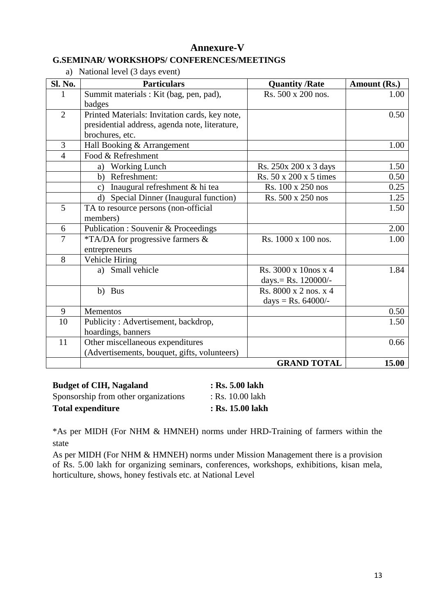### **Annexure-V G.SEMINAR/ WORKSHOPS/ CONFERENCES/MEETINGS**

| a)             | National level (3 days event)                   |                        |              |
|----------------|-------------------------------------------------|------------------------|--------------|
| Sl. No.        | <b>Particulars</b>                              | <b>Quantity /Rate</b>  | Amount (Rs.) |
| 1              | Summit materials : Kit (bag, pen, pad),         | Rs. 500 x 200 nos.     | 1.00         |
|                | badges                                          |                        |              |
| $\overline{2}$ | Printed Materials: Invitation cards, key note,  |                        | 0.50         |
|                | presidential address, agenda note, literature,  |                        |              |
|                | brochures, etc.                                 |                        |              |
| 3              | Hall Booking & Arrangement                      |                        | 1.00         |
| $\overline{4}$ | Food & Refreshment                              |                        |              |
|                | Working Lunch<br>a)                             | Rs. 250x 200 x 3 days  | 1.50         |
|                | b) Refreshment:                                 | Rs. 50 x 200 x 5 times | 0.50         |
|                | c) Inaugural refreshment & hi tea               | Rs. 100 x 250 nos      | 0.25         |
|                | d) Special Dinner (Inaugural function)          | Rs. 500 x 250 nos      | 1.25         |
| 5              | TA to resource persons (non-official            |                        | 1.50         |
|                | members)                                        |                        |              |
| 6              | <b>Publication : Souvenir &amp; Proceedings</b> |                        | 2.00         |
| $\overline{7}$ | *TA/DA for progressive farmers &                | Rs. 1000 x 100 nos.    | 1.00         |
|                | entrepreneurs                                   |                        |              |
| 8              | Vehicle Hiring                                  |                        |              |
|                | a) Small vehicle                                | Rs. 3000 x 10nos x 4   | 1.84         |
|                |                                                 | days. = Rs. $120000/-$ |              |
|                | b) Bus                                          | Rs. 8000 x 2 nos. x 4  |              |
|                |                                                 | days = $Rs. 64000/-$   |              |
| 9              | <b>Mementos</b>                                 |                        | 0.50         |
| 10             | Publicity: Advertisement, backdrop,             |                        | 1.50         |
|                | hoardings, banners                              |                        |              |
| 11             | Other miscellaneous expenditures                |                        | 0.66         |
|                | (Advertisements, bouquet, gifts, volunteers)    |                        |              |
|                |                                                 | <b>GRAND TOTAL</b>     | 15.00        |

| <b>Budget of CIH, Nagaland</b>       | : Rs. 5.00 lakh  |
|--------------------------------------|------------------|
| Sponsorship from other organizations | : Rs. 10.00 lakh |
| <b>Total expenditure</b>             | : Rs. 15.00 lakh |

\*As per MIDH (For NHM & HMNEH) norms under HRD-Training of farmers within the state

As per MIDH (For NHM & HMNEH) norms under Mission Management there is a provision of Rs. 5.00 lakh for organizing seminars, conferences, workshops, exhibitions, kisan mela, horticulture, shows, honey festivals etc. at National Level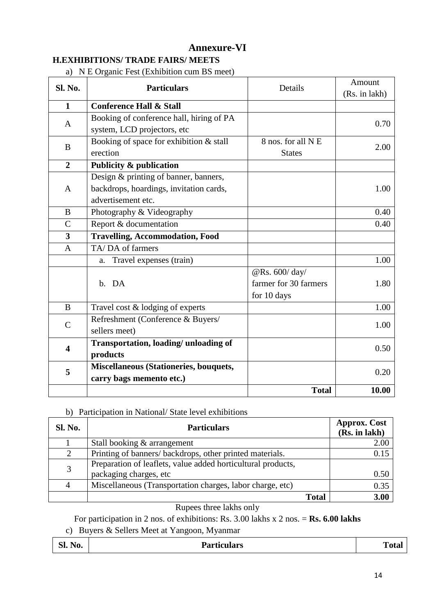# **Annexure-VI H.EXHIBITIONS/ TRADE FAIRS/ MEETS**

|  |  | a) N E Organic Fest (Exhibition cum BS meet) |
|--|--|----------------------------------------------|
|  |  |                                              |

| <b>Sl. No.</b>          | $\frac{1}{2}$ . The state of $\frac{1}{2}$ and $\frac{1}{2}$ and $\frac{1}{2}$ and $\frac{1}{2}$ and $\frac{1}{2}$ and $\frac{1}{2}$ and $\frac{1}{2}$ and $\frac{1}{2}$ and $\frac{1}{2}$ and $\frac{1}{2}$ and $\frac{1}{2}$ and $\frac{1}{2}$ and $\frac{1}{2}$ and $\frac{1}{2}$ and<br><b>Particulars</b> | Details               | Amount<br>(Rs. in lakh) |
|-------------------------|----------------------------------------------------------------------------------------------------------------------------------------------------------------------------------------------------------------------------------------------------------------------------------------------------------------|-----------------------|-------------------------|
| $\mathbf{1}$            | <b>Conference Hall &amp; Stall</b>                                                                                                                                                                                                                                                                             |                       |                         |
| A                       | Booking of conference hall, hiring of PA                                                                                                                                                                                                                                                                       |                       | 0.70                    |
|                         | system, LCD projectors, etc                                                                                                                                                                                                                                                                                    |                       |                         |
| B                       | Booking of space for exhibition & stall                                                                                                                                                                                                                                                                        | 8 nos. for all N E    | 2.00                    |
|                         | erection                                                                                                                                                                                                                                                                                                       | <b>States</b>         |                         |
| $\overline{2}$          | <b>Publicity &amp; publication</b>                                                                                                                                                                                                                                                                             |                       |                         |
|                         | Design & printing of banner, banners,                                                                                                                                                                                                                                                                          |                       |                         |
| A                       | backdrops, hoardings, invitation cards,                                                                                                                                                                                                                                                                        |                       | 1.00                    |
|                         | advertisement etc.                                                                                                                                                                                                                                                                                             |                       |                         |
| B                       | Photography & Videography                                                                                                                                                                                                                                                                                      |                       | 0.40                    |
| $\mathcal{C}$           | Report & documentation                                                                                                                                                                                                                                                                                         |                       | 0.40                    |
| $\overline{\mathbf{3}}$ | <b>Travelling, Accommodation, Food</b>                                                                                                                                                                                                                                                                         |                       |                         |
| $\mathbf{A}$            | TA/DA of farmers                                                                                                                                                                                                                                                                                               |                       |                         |
|                         | Travel expenses (train)<br>a.                                                                                                                                                                                                                                                                                  |                       | 1.00                    |
|                         |                                                                                                                                                                                                                                                                                                                | @Rs. 600/day/         |                         |
|                         | b. DA                                                                                                                                                                                                                                                                                                          | farmer for 30 farmers | 1.80                    |
|                         |                                                                                                                                                                                                                                                                                                                | for 10 days           |                         |
| B                       | Travel cost & lodging of experts                                                                                                                                                                                                                                                                               |                       | 1.00                    |
| $\mathsf{C}$            | Refreshment (Conference & Buyers/                                                                                                                                                                                                                                                                              |                       | 1.00                    |
|                         | sellers meet)                                                                                                                                                                                                                                                                                                  |                       |                         |
| $\overline{\mathbf{4}}$ | Transportation, loading/ unloading of                                                                                                                                                                                                                                                                          |                       | 0.50                    |
|                         | products                                                                                                                                                                                                                                                                                                       |                       |                         |
| 5                       | Miscellaneous (Stationeries, bouquets,                                                                                                                                                                                                                                                                         |                       | 0.20                    |
|                         | carry bags memento etc.)                                                                                                                                                                                                                                                                                       |                       |                         |
|                         |                                                                                                                                                                                                                                                                                                                | <b>Total</b>          | 10.00                   |

#### b) Participation in National/ State level exhibitions

| <b>Sl. No.</b> | <b>Particulars</b>                                           | <b>Approx. Cost</b><br>(Rs. in lakh) |
|----------------|--------------------------------------------------------------|--------------------------------------|
|                | Stall booking & arrangement                                  | 2.00                                 |
| 2              | Printing of banners/ backdrops, other printed materials.     |                                      |
| 3              | Preparation of leaflets, value added horticultural products, |                                      |
|                | packaging charges, etc                                       | 0.50                                 |
|                | Miscellaneous (Transportation charges, labor charge, etc)    | 0.35                                 |
|                | <b>Total</b>                                                 | 3.00                                 |

#### Rupees three lakhs only

For participation in 2 nos. of exhibitions: Rs. 3.00 lakhs x 2 nos. = **Rs. 6.00 lakhs**

c) Buyers & Sellers Meet at Yangoon, Myanmar

| n.<br>$\bullet$<br>No.<br>D1. | <b>Particulars</b><br>. | m<br>1 vial |
|-------------------------------|-------------------------|-------------|
|-------------------------------|-------------------------|-------------|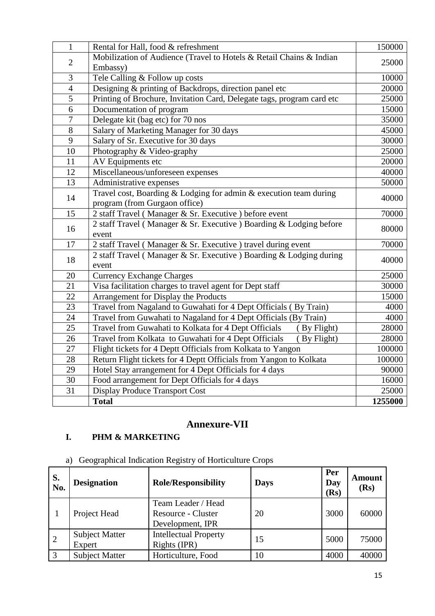| $\mathbf{1}$   | Rental for Hall, food & refreshment                                     | 150000  |  |
|----------------|-------------------------------------------------------------------------|---------|--|
| $\overline{2}$ | Mobilization of Audience (Travel to Hotels & Retail Chains & Indian     | 25000   |  |
|                | Embassy)                                                                |         |  |
| 3              | Tele Calling & Follow up costs                                          | 10000   |  |
| $\overline{4}$ | Designing & printing of Backdrops, direction panel etc                  | 20000   |  |
| $\overline{5}$ | Printing of Brochure, Invitation Card, Delegate tags, program card etc  | 25000   |  |
| $\overline{6}$ | Documentation of program                                                | 15000   |  |
| $\overline{7}$ | Delegate kit (bag etc) for 70 nos                                       | 35000   |  |
| $\overline{8}$ | Salary of Marketing Manager for 30 days                                 | 45000   |  |
| 9              | Salary of Sr. Executive for 30 days                                     | 30000   |  |
| 10             | Photography & Video-graphy                                              | 25000   |  |
| 11             | AV Equipments etc                                                       | 20000   |  |
| 12             | Miscellaneous/unforeseen expenses                                       | 40000   |  |
| 13             | Administrative expenses                                                 | 50000   |  |
|                | Travel cost, Boarding $\&$ Lodging for admin $\&$ execution team during |         |  |
| 14             | program (from Gurgaon office)                                           | 40000   |  |
| 15             | 2 staff Travel (Manager & Sr. Executive) before event                   | 70000   |  |
|                | 2 staff Travel (Manager & Sr. Executive) Boarding & Lodging before      |         |  |
| 16             | event                                                                   | 80000   |  |
| 17             | 2 staff Travel (Manager & Sr. Executive) travel during event            | 70000   |  |
|                | 2 staff Travel (Manager & Sr. Executive) Boarding & Lodging during      |         |  |
| 18             | event                                                                   | 40000   |  |
| 20             | <b>Currency Exchange Charges</b>                                        | 25000   |  |
| 21             | Visa facilitation charges to travel agent for Dept staff                | 30000   |  |
| 22             | Arrangement for Display the Products                                    | 15000   |  |
| 23             | Travel from Nagaland to Guwahati for 4 Dept Officials (By Train)        | 4000    |  |
| 24             | Travel from Guwahati to Nagaland for 4 Dept Officials (By Train)        | 4000    |  |
| 25             | Travel from Guwahati to Kolkata for 4 Dept Officials<br>(By Flight)     | 28000   |  |
| 26             | Travel from Kolkata to Guwahati for 4 Dept Officials<br>(By Flight)     | 28000   |  |
| 27             | Flight tickets for 4 Deptt Officials from Kolkata to Yangon             | 100000  |  |
| 28             | Return Flight tickets for 4 Deptt Officials from Yangon to Kolkata      | 100000  |  |
| 29             | Hotel Stay arrangement for 4 Dept Officials for 4 days                  | 90000   |  |
| 30             | Food arrangement for Dept Officials for 4 days                          | 16000   |  |
| 31             | <b>Display Produce Transport Cost</b>                                   | 25000   |  |
|                | <b>Total</b>                                                            | 1255000 |  |

# **Annexure-VII**

# **I. PHM & MARKETING**

a) Geographical Indication Registry of Horticulture Crops

| S.<br>No. | <b>Designation</b>              | <b>Role/Responsibility</b>                                   | <b>Days</b> | Per<br>Day<br>(Rs) | Amount<br>(Rs) |
|-----------|---------------------------------|--------------------------------------------------------------|-------------|--------------------|----------------|
|           | Project Head                    | Team Leader / Head<br>Resource - Cluster<br>Development, IPR | 20          | 3000               | 60000          |
| 2         | <b>Subject Matter</b><br>Expert | <b>Intellectual Property</b><br>Rights (IPR)                 | 15          | 5000               | 75000          |
| 3         | <b>Subject Matter</b>           | Horticulture, Food                                           | 10          | 4000               | 40000          |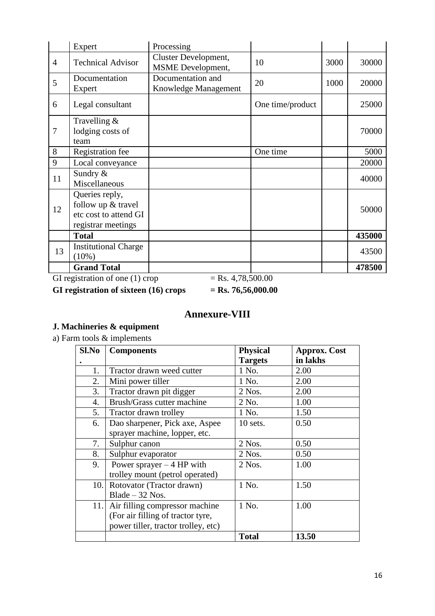|                | Expert                                                                              | Processing                                       |                  |      |        |
|----------------|-------------------------------------------------------------------------------------|--------------------------------------------------|------------------|------|--------|
| $\overline{4}$ | <b>Technical Advisor</b>                                                            | Cluster Development,<br><b>MSME</b> Development, | 10               | 3000 | 30000  |
| 5              | Documentation<br>Expert                                                             | Documentation and<br>Knowledge Management        | 20               | 1000 | 20000  |
| 6              | Legal consultant                                                                    |                                                  | One time/product |      | 25000  |
| $\overline{7}$ | Travelling $&$<br>lodging costs of<br>team                                          |                                                  |                  |      | 70000  |
| 8              | <b>Registration</b> fee                                                             |                                                  | One time         |      | 5000   |
| 9              | Local conveyance                                                                    |                                                  |                  |      | 20000  |
| 11             | Sundry &<br>Miscellaneous                                                           |                                                  |                  |      | 40000  |
| 12             | Queries reply,<br>follow up & travel<br>etc cost to attend GI<br>registrar meetings |                                                  |                  |      | 50000  |
|                | <b>Total</b>                                                                        |                                                  |                  |      | 435000 |
| 13             | <b>Institutional Charge</b><br>$(10\%)$                                             |                                                  |                  |      | 43500  |
|                | <b>Grand Total</b>                                                                  |                                                  |                  |      | 478500 |

GI registration of one (1) crop  $=$  Rs. 4,78,500.00

**GI registration of sixteen (16) crops = Rs. 76,56,000.00**

# **Annexure-VIII**

# **J. Machineries & equipment**

a) Farm tools & implements

| Sl.No | <b>Components</b>                   | <b>Physical</b> | <b>Approx. Cost</b> |
|-------|-------------------------------------|-----------------|---------------------|
|       |                                     | <b>Targets</b>  | in lakhs            |
| 1.    | Tractor drawn weed cutter           | 1 No.           | 2.00                |
| 2.    | Mini power tiller                   | 1 No.           | 2.00                |
| 3.    | Tractor drawn pit digger            | $2$ Nos.        | 2.00                |
| 4.    | Brush/Grass cutter machine          | 2 No.           | 1.00                |
| 5.    | Tractor drawn trolley               | 1 No.           | 1.50                |
| 6.    | Dao sharpener, Pick axe, Aspee      | 10 sets.        | 0.50                |
|       | sprayer machine, lopper, etc.       |                 |                     |
| 7.    | Sulphur canon                       | 2 Nos.          | 0.50                |
| 8.    | Sulphur evaporator                  | $2$ Nos.        | 0.50                |
| 9.    | Power sprayer $-4$ HP with          | 2 Nos.          | 1.00                |
|       | trolley mount (petrol operated)     |                 |                     |
| 10.   | Rotovator (Tractor drawn)           | 1 No.           | 1.50                |
|       | $B$ lade $-32$ Nos.                 |                 |                     |
| 11.   | Air filling compressor machine      | 1 No.           | 1.00                |
|       | (For air filling of tractor tyre,   |                 |                     |
|       | power tiller, tractor trolley, etc) |                 |                     |
|       |                                     | <b>Total</b>    | 13.50               |